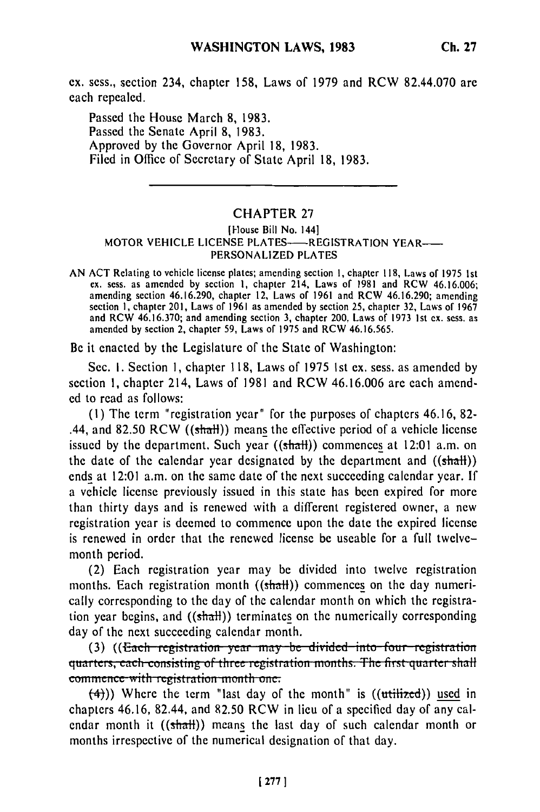ex. sess., section 234, chapter 158, Laws of 1979 and RCW 82.44.070 are each repealed.

Passed the House March 8, 1983. Passed the Senate April 8, 1983. Approved by the Governor April 18, 1983. Filed in Office of Secretary of State April 18, 1983.

## CHAPTER 27

## (House Bill No. 144] MOTOR VEHICLE LICENSE PLATES-**---- REGISTRATION YEAR-----**PERSONALIZED **PLATES**

**AN ACT** Relating to vehicle license plates; amending section **1,** chapter 118, Laws of 1975 1st ex. sess. as amended by section **1,** chapter 214, Laws of 1981 and RCW 46.16.006; amending section 46.16.290, chapter 12, Laws of 1961 and RCW 46.16.290; amending section 1, chapter 201, Laws of 1961 as amended by section 25, chapter 32, Laws of 1967 and RCW 46.16.370; and amending section 3, chapter 200, Laws of 1973 Ist ex. sess. as amended by section 2, chapter 59, Laws of 1975 and RCW 46.16.565.

Be it enacted by the Legislature of the State of Washington:

Sec. **1.** Section 1, chapter 118, Laws of 1975 1st ex. sess. as amended by section 1, chapter 214, Laws of 1981 and RCW 46.16.006 are each amended to read as follows:

(1) The term "registration year" for the purposes of chapters 46.16, 82- .44, and 82.50 RCW ( $(\text{shat})$ ) means the effective period of a vehicle license issued by the department. Such year  $((shath))$  commences at 12:01 a.m. on the date of the calendar year designated by the department and  $((shath))$ ends at 12:01 a.m. on the same date of the next succeeding calendar year. If a vehicle license previously issued in this state has been expired for more than thirty days and is renewed with a different registered owner, a new registration year is deemed to commence upon the date the expired license is renewed in order that the renewed license be useable for a full twelvemonth period.

(2) Each registration year may be divided into twelve registration months. Each registration month  $((shath))$  commences on the day numerically corresponding to the day of the calendar month on which the registration year begins, and  $((shath))$  terminates on the numerically corresponding day of the next succeeding calendar month.<br>(3) ((<del>Each registration year may be divided into four registration</del>)

quarters, each consisting of three registration months. The first quarter shal commence with registration month one.<br>(4)) Where the term "last day of the month" is ((utilized)) used in

chapters 46.16, 82.44, and 82.50 RCW in lieu of a specified day of any calendar month it  $((shath))$  means the last day of such calendar month or months irrespective of the numerical designation of that day.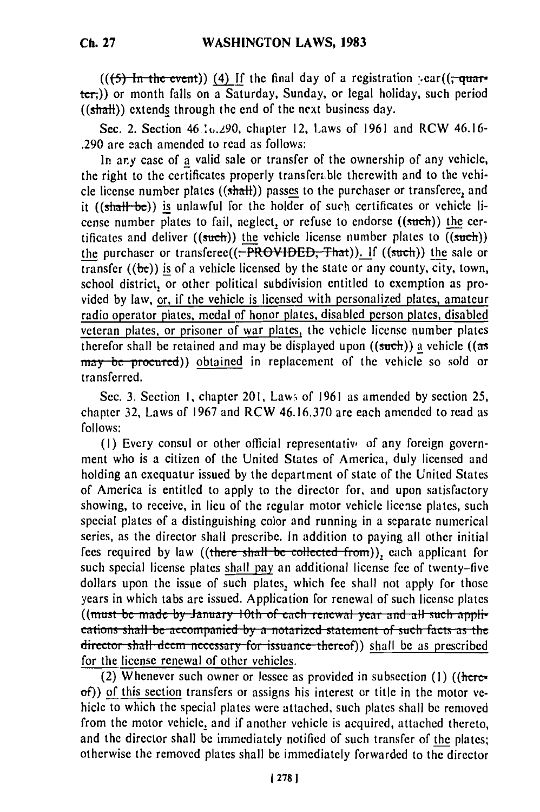$((f-1)$  **i.e.**  $f(x)$  **i.e.**  $f(x)$  **i.e.** ((; ) i.e. i.f. (i) If the final day of a registration : ear((;  $f(x)$ ter,)) or month falls on a Saturday, Sunday, or legal holiday, such period  $((shall))$  extends through the end of the next business day.

Sec. 2. Section 46 .10.290, chapter 12, Laws of 1961 and RCW 46.16-.290 are 2ach amended to read as follows:

In any case of a valid sale or transfer of the ownership of any vehicle, the right to the certificates properly transferable therewith and to the vehicle license number plates ((shall)) passes to the purchaser or transferee, and it ((shall be)) is unlawful for the holder of such certificates or vehicle license number plates to fail, neglect, or refuse to endorse ((such)) the certificates and deliver ((such)) the vehicle license number plates to  $(\overline{(\text{such})})$ the purchaser or transferee((. PROVIDED, That)). **If** ((such)) the sale or transfer **((be))** is of a vehicle licensed **by** the state or any county, city, town, school district, or other political subdivision entitled to exemption as provided **by** law, or, if the vehicle is licensed with personalized plates, amateur radio operator plates, medal of honor plates, disabled person plates, disabled veteran plates, or prisoner **of** war plates, the vehicle license number plates therefor shall be retained and may **be** displayed upon ((such)) **a** vehicle ((as may be procured)) obtained in replacement of the vehicle so sold or transferred.

Sec. **3.** Section **1,** chapter 201, Law, of **1961** as amended **by** section 25, chapter **32,** Laws of **1967** and RCW **46.16.370** are each amended to read as **follows:**

**(1)** Every consul or other official representativ, of any foreign government who is a citizen of the United States of America, duly licensed and holding an exequatur issued **by** the department of state of the United States of America is entitled to apply to the director for, and upon satisfactory showing, to receive, in lieu of the regular motor vehicle license plates, such special plates of a distinguishing color and running in a separate numerical series, as the director shall prescribe. In addition to paying all other initial fees required by law ((there shall be collected from)), each applicant for such special license plates shall pay an additional license fee of twenty-five dollars upon the issue of such plates, which fee shall not apply for those years in which tabs are issued. Application for renewal of such license plates ((must be made by January 10th of each renewal year and all such appli-(thust be made by samally folli be accompanied by a **notarized** statement of such facts as the director shall deem necessary for issuance thereof)) shall be as prescribed director shall deem necessary for issuance thereof)) shall be as prescribed for the license renewal of other vehicles.

(2) Whenever such owner or lessee as provided in subsection **(I)** ((hereof)) of this section transfers or assigns his interest or title in the motor vehicle to which the special plates were attached, such plates shall be removed from the motor vehicle, and if another vehicle is acquired, attached thereto, and the director shall be immediately notified of such transfer of the plates; otherwise the removed plates shall be immediately forwarded to the director